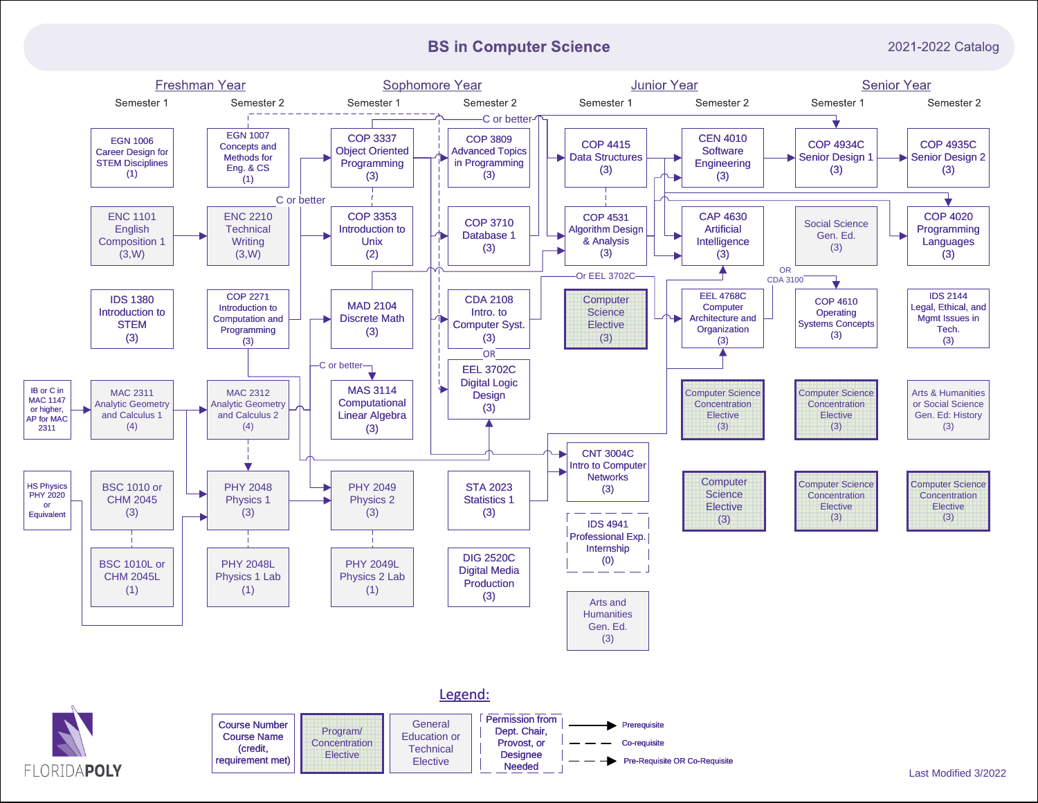# **BS in Computer Science**

2021-2022 Catalog